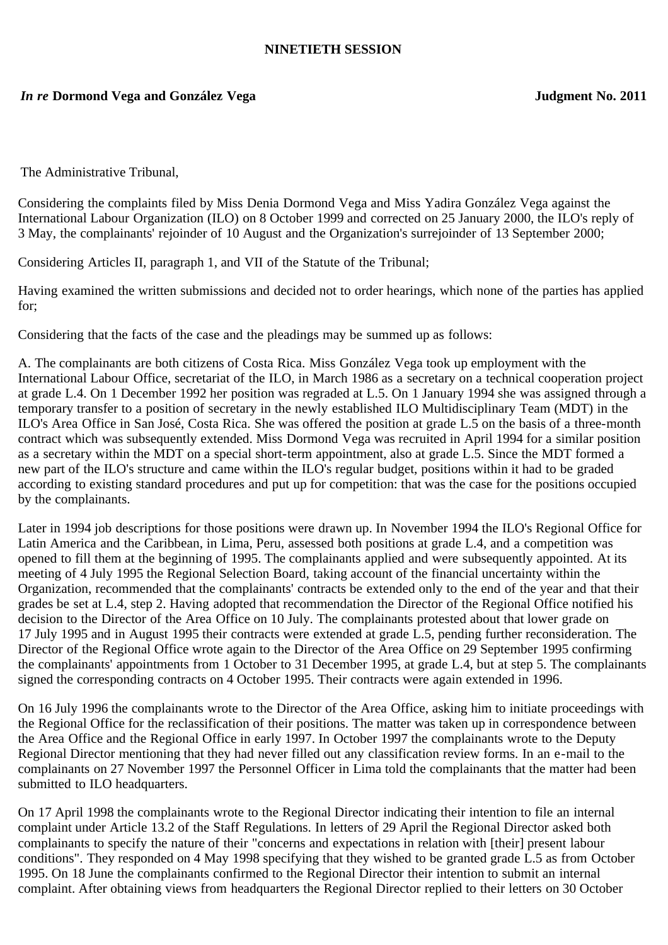## **NINETIETH SESSION**

## *In re* **Dormond Vega and González Vega Judgment No. 2011**

The Administrative Tribunal,

Considering the complaints filed by Miss Denia Dormond Vega and Miss Yadira González Vega against the International Labour Organization (ILO) on 8 October 1999 and corrected on 25 January 2000, the ILO's reply of 3 May, the complainants' rejoinder of 10 August and the Organization's surrejoinder of 13 September 2000;

Considering Articles II, paragraph 1, and VII of the Statute of the Tribunal;

Having examined the written submissions and decided not to order hearings, which none of the parties has applied for;

Considering that the facts of the case and the pleadings may be summed up as follows:

A. The complainants are both citizens of Costa Rica. Miss González Vega took up employment with the International Labour Office, secretariat of the ILO, in March 1986 as a secretary on a technical cooperation project at grade L.4. On 1 December 1992 her position was regraded at L.5. On 1 January 1994 she was assigned through a temporary transfer to a position of secretary in the newly established ILO Multidisciplinary Team (MDT) in the ILO's Area Office in San José, Costa Rica. She was offered the position at grade L.5 on the basis of a three-month contract which was subsequently extended. Miss Dormond Vega was recruited in April 1994 for a similar position as a secretary within the MDT on a special short-term appointment, also at grade L.5. Since the MDT formed a new part of the ILO's structure and came within the ILO's regular budget, positions within it had to be graded according to existing standard procedures and put up for competition: that was the case for the positions occupied by the complainants.

Later in 1994 job descriptions for those positions were drawn up. In November 1994 the ILO's Regional Office for Latin America and the Caribbean, in Lima, Peru, assessed both positions at grade L.4, and a competition was opened to fill them at the beginning of 1995. The complainants applied and were subsequently appointed. At its meeting of 4 July 1995 the Regional Selection Board, taking account of the financial uncertainty within the Organization, recommended that the complainants' contracts be extended only to the end of the year and that their grades be set at L.4, step 2. Having adopted that recommendation the Director of the Regional Office notified his decision to the Director of the Area Office on 10 July. The complainants protested about that lower grade on 17 July 1995 and in August 1995 their contracts were extended at grade L.5, pending further reconsideration. The Director of the Regional Office wrote again to the Director of the Area Office on 29 September 1995 confirming the complainants' appointments from 1 October to 31 December 1995, at grade L.4, but at step 5. The complainants signed the corresponding contracts on 4 October 1995. Their contracts were again extended in 1996.

On 16 July 1996 the complainants wrote to the Director of the Area Office, asking him to initiate proceedings with the Regional Office for the reclassification of their positions. The matter was taken up in correspondence between the Area Office and the Regional Office in early 1997. In October 1997 the complainants wrote to the Deputy Regional Director mentioning that they had never filled out any classification review forms. In an e-mail to the complainants on 27 November 1997 the Personnel Officer in Lima told the complainants that the matter had been submitted to ILO headquarters.

On 17 April 1998 the complainants wrote to the Regional Director indicating their intention to file an internal complaint under Article 13.2 of the Staff Regulations. In letters of 29 April the Regional Director asked both complainants to specify the nature of their "concerns and expectations in relation with [their] present labour conditions". They responded on 4 May 1998 specifying that they wished to be granted grade L.5 as from October 1995. On 18 June the complainants confirmed to the Regional Director their intention to submit an internal complaint. After obtaining views from headquarters the Regional Director replied to their letters on 30 October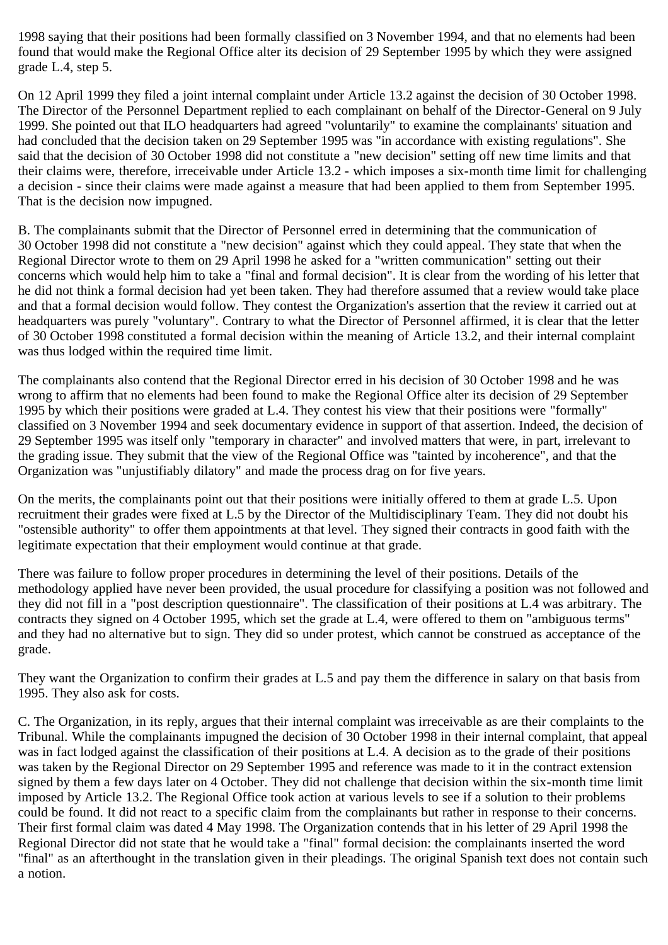1998 saying that their positions had been formally classified on 3 November 1994, and that no elements had been found that would make the Regional Office alter its decision of 29 September 1995 by which they were assigned grade L.4, step 5.

On 12 April 1999 they filed a joint internal complaint under Article 13.2 against the decision of 30 October 1998. The Director of the Personnel Department replied to each complainant on behalf of the Director-General on 9 July 1999. She pointed out that ILO headquarters had agreed "voluntarily" to examine the complainants' situation and had concluded that the decision taken on 29 September 1995 was "in accordance with existing regulations". She said that the decision of 30 October 1998 did not constitute a "new decision" setting off new time limits and that their claims were, therefore, irreceivable under Article 13.2 - which imposes a six-month time limit for challenging a decision - since their claims were made against a measure that had been applied to them from September 1995. That is the decision now impugned.

B. The complainants submit that the Director of Personnel erred in determining that the communication of 30 October 1998 did not constitute a "new decision" against which they could appeal. They state that when the Regional Director wrote to them on 29 April 1998 he asked for a "written communication" setting out their concerns which would help him to take a "final and formal decision". It is clear from the wording of his letter that he did not think a formal decision had yet been taken. They had therefore assumed that a review would take place and that a formal decision would follow. They contest the Organization's assertion that the review it carried out at headquarters was purely "voluntary". Contrary to what the Director of Personnel affirmed, it is clear that the letter of 30 October 1998 constituted a formal decision within the meaning of Article 13.2, and their internal complaint was thus lodged within the required time limit.

The complainants also contend that the Regional Director erred in his decision of 30 October 1998 and he was wrong to affirm that no elements had been found to make the Regional Office alter its decision of 29 September 1995 by which their positions were graded at L.4. They contest his view that their positions were "formally" classified on 3 November 1994 and seek documentary evidence in support of that assertion. Indeed, the decision of 29 September 1995 was itself only "temporary in character" and involved matters that were, in part, irrelevant to the grading issue. They submit that the view of the Regional Office was "tainted by incoherence", and that the Organization was "unjustifiably dilatory" and made the process drag on for five years.

On the merits, the complainants point out that their positions were initially offered to them at grade L.5. Upon recruitment their grades were fixed at L.5 by the Director of the Multidisciplinary Team. They did not doubt his "ostensible authority" to offer them appointments at that level. They signed their contracts in good faith with the legitimate expectation that their employment would continue at that grade.

There was failure to follow proper procedures in determining the level of their positions. Details of the methodology applied have never been provided, the usual procedure for classifying a position was not followed and they did not fill in a "post description questionnaire". The classification of their positions at L.4 was arbitrary. The contracts they signed on 4 October 1995, which set the grade at L.4, were offered to them on "ambiguous terms" and they had no alternative but to sign. They did so under protest, which cannot be construed as acceptance of the grade.

They want the Organization to confirm their grades at L.5 and pay them the difference in salary on that basis from 1995. They also ask for costs.

C. The Organization, in its reply, argues that their internal complaint was irreceivable as are their complaints to the Tribunal. While the complainants impugned the decision of 30 October 1998 in their internal complaint, that appeal was in fact lodged against the classification of their positions at L.4. A decision as to the grade of their positions was taken by the Regional Director on 29 September 1995 and reference was made to it in the contract extension signed by them a few days later on 4 October. They did not challenge that decision within the six-month time limit imposed by Article 13.2. The Regional Office took action at various levels to see if a solution to their problems could be found. It did not react to a specific claim from the complainants but rather in response to their concerns. Their first formal claim was dated 4 May 1998. The Organization contends that in his letter of 29 April 1998 the Regional Director did not state that he would take a "final" formal decision: the complainants inserted the word "final" as an afterthought in the translation given in their pleadings. The original Spanish text does not contain such a notion.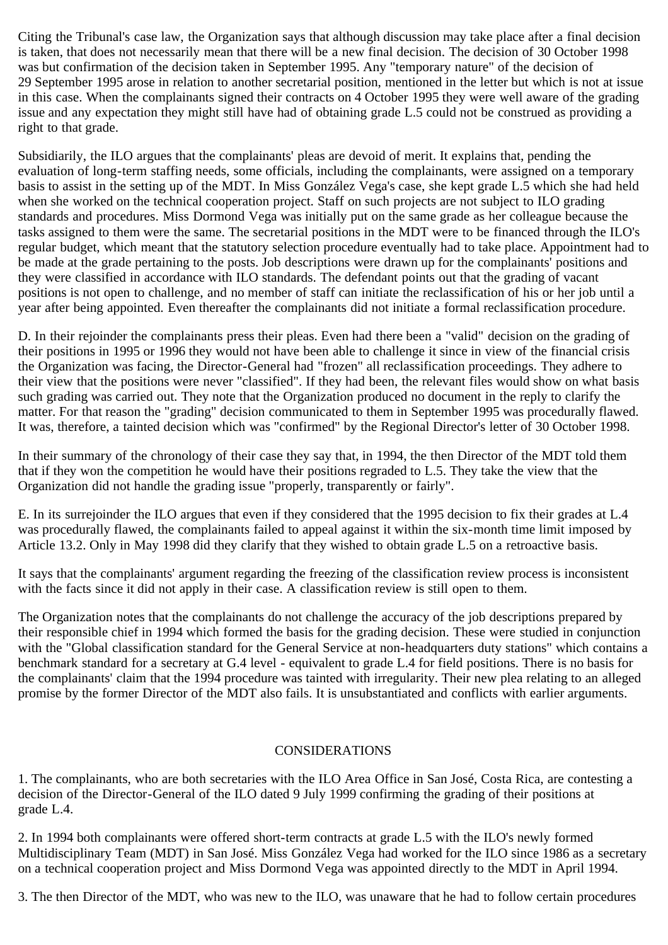Citing the Tribunal's case law, the Organization says that although discussion may take place after a final decision is taken, that does not necessarily mean that there will be a new final decision. The decision of 30 October 1998 was but confirmation of the decision taken in September 1995. Any "temporary nature" of the decision of 29 September 1995 arose in relation to another secretarial position, mentioned in the letter but which is not at issue in this case. When the complainants signed their contracts on 4 October 1995 they were well aware of the grading issue and any expectation they might still have had of obtaining grade L.5 could not be construed as providing a right to that grade.

Subsidiarily, the ILO argues that the complainants' pleas are devoid of merit. It explains that, pending the evaluation of long-term staffing needs, some officials, including the complainants, were assigned on a temporary basis to assist in the setting up of the MDT. In Miss González Vega's case, she kept grade L.5 which she had held when she worked on the technical cooperation project. Staff on such projects are not subject to ILO grading standards and procedures. Miss Dormond Vega was initially put on the same grade as her colleague because the tasks assigned to them were the same. The secretarial positions in the MDT were to be financed through the ILO's regular budget, which meant that the statutory selection procedure eventually had to take place. Appointment had to be made at the grade pertaining to the posts. Job descriptions were drawn up for the complainants' positions and they were classified in accordance with ILO standards. The defendant points out that the grading of vacant positions is not open to challenge, and no member of staff can initiate the reclassification of his or her job until a year after being appointed. Even thereafter the complainants did not initiate a formal reclassification procedure.

D. In their rejoinder the complainants press their pleas. Even had there been a "valid" decision on the grading of their positions in 1995 or 1996 they would not have been able to challenge it since in view of the financial crisis the Organization was facing, the Director-General had "frozen" all reclassification proceedings. They adhere to their view that the positions were never "classified". If they had been, the relevant files would show on what basis such grading was carried out. They note that the Organization produced no document in the reply to clarify the matter. For that reason the "grading" decision communicated to them in September 1995 was procedurally flawed. It was, therefore, a tainted decision which was "confirmed" by the Regional Director's letter of 30 October 1998.

In their summary of the chronology of their case they say that, in 1994, the then Director of the MDT told them that if they won the competition he would have their positions regraded to L.5. They take the view that the Organization did not handle the grading issue "properly, transparently or fairly".

E. In its surrejoinder the ILO argues that even if they considered that the 1995 decision to fix their grades at L.4 was procedurally flawed, the complainants failed to appeal against it within the six-month time limit imposed by Article 13.2. Only in May 1998 did they clarify that they wished to obtain grade L.5 on a retroactive basis.

It says that the complainants' argument regarding the freezing of the classification review process is inconsistent with the facts since it did not apply in their case. A classification review is still open to them.

The Organization notes that the complainants do not challenge the accuracy of the job descriptions prepared by their responsible chief in 1994 which formed the basis for the grading decision. These were studied in conjunction with the "Global classification standard for the General Service at non-headquarters duty stations" which contains a benchmark standard for a secretary at G.4 level - equivalent to grade L.4 for field positions. There is no basis for the complainants' claim that the 1994 procedure was tainted with irregularity. Their new plea relating to an alleged promise by the former Director of the MDT also fails. It is unsubstantiated and conflicts with earlier arguments.

## CONSIDERATIONS

1. The complainants, who are both secretaries with the ILO Area Office in San José, Costa Rica, are contesting a decision of the Director-General of the ILO dated 9 July 1999 confirming the grading of their positions at grade L.4.

2. In 1994 both complainants were offered short-term contracts at grade L.5 with the ILO's newly formed Multidisciplinary Team (MDT) in San José. Miss González Vega had worked for the ILO since 1986 as a secretary on a technical cooperation project and Miss Dormond Vega was appointed directly to the MDT in April 1994.

3. The then Director of the MDT, who was new to the ILO, was unaware that he had to follow certain procedures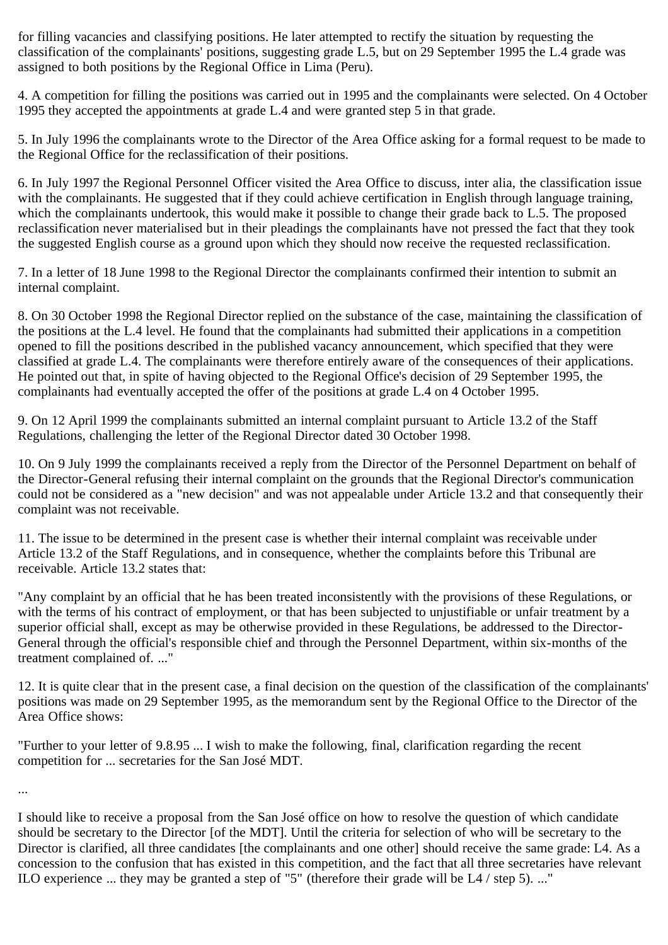for filling vacancies and classifying positions. He later attempted to rectify the situation by requesting the classification of the complainants' positions, suggesting grade L.5, but on 29 September 1995 the L.4 grade was assigned to both positions by the Regional Office in Lima (Peru).

4. A competition for filling the positions was carried out in 1995 and the complainants were selected. On 4 October 1995 they accepted the appointments at grade L.4 and were granted step 5 in that grade.

5. In July 1996 the complainants wrote to the Director of the Area Office asking for a formal request to be made to the Regional Office for the reclassification of their positions.

6. In July 1997 the Regional Personnel Officer visited the Area Office to discuss, inter alia, the classification issue with the complainants. He suggested that if they could achieve certification in English through language training, which the complainants undertook, this would make it possible to change their grade back to L.5. The proposed reclassification never materialised but in their pleadings the complainants have not pressed the fact that they took the suggested English course as a ground upon which they should now receive the requested reclassification.

7. In a letter of 18 June 1998 to the Regional Director the complainants confirmed their intention to submit an internal complaint.

8. On 30 October 1998 the Regional Director replied on the substance of the case, maintaining the classification of the positions at the L.4 level. He found that the complainants had submitted their applications in a competition opened to fill the positions described in the published vacancy announcement, which specified that they were classified at grade L.4. The complainants were therefore entirely aware of the consequences of their applications. He pointed out that, in spite of having objected to the Regional Office's decision of 29 September 1995, the complainants had eventually accepted the offer of the positions at grade L.4 on 4 October 1995.

9. On 12 April 1999 the complainants submitted an internal complaint pursuant to Article 13.2 of the Staff Regulations, challenging the letter of the Regional Director dated 30 October 1998.

10. On 9 July 1999 the complainants received a reply from the Director of the Personnel Department on behalf of the Director-General refusing their internal complaint on the grounds that the Regional Director's communication could not be considered as a "new decision" and was not appealable under Article 13.2 and that consequently their complaint was not receivable.

11. The issue to be determined in the present case is whether their internal complaint was receivable under Article 13.2 of the Staff Regulations, and in consequence, whether the complaints before this Tribunal are receivable. Article 13.2 states that:

"Any complaint by an official that he has been treated inconsistently with the provisions of these Regulations, or with the terms of his contract of employment, or that has been subjected to unjustifiable or unfair treatment by a superior official shall, except as may be otherwise provided in these Regulations, be addressed to the Director-General through the official's responsible chief and through the Personnel Department, within six-months of the treatment complained of. ..."

12. It is quite clear that in the present case, a final decision on the question of the classification of the complainants' positions was made on 29 September 1995, as the memorandum sent by the Regional Office to the Director of the Area Office shows:

"Further to your letter of 9.8.95 ... I wish to make the following, final, clarification regarding the recent competition for ... secretaries for the San José MDT.

...

I should like to receive a proposal from the San José office on how to resolve the question of which candidate should be secretary to the Director [of the MDT]. Until the criteria for selection of who will be secretary to the Director is clarified, all three candidates [the complainants and one other] should receive the same grade: L4. As a concession to the confusion that has existed in this competition, and the fact that all three secretaries have relevant ILO experience ... they may be granted a step of "5" (therefore their grade will be L4 / step 5). ..."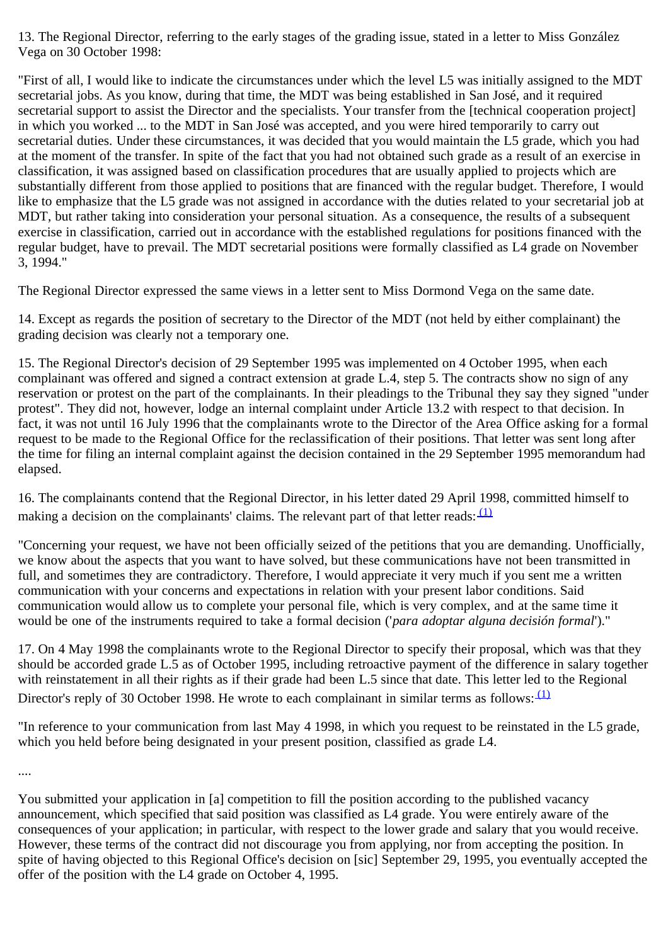13. The Regional Director, referring to the early stages of the grading issue, stated in a letter to Miss González Vega on 30 October 1998:

"First of all, I would like to indicate the circumstances under which the level L5 was initially assigned to the MDT secretarial jobs. As you know, during that time, the MDT was being established in San José, and it required secretarial support to assist the Director and the specialists. Your transfer from the [technical cooperation project] in which you worked ... to the MDT in San José was accepted, and you were hired temporarily to carry out secretarial duties. Under these circumstances, it was decided that you would maintain the L5 grade, which you had at the moment of the transfer. In spite of the fact that you had not obtained such grade as a result of an exercise in classification, it was assigned based on classification procedures that are usually applied to projects which are substantially different from those applied to positions that are financed with the regular budget. Therefore, I would like to emphasize that the L5 grade was not assigned in accordance with the duties related to your secretarial job at MDT, but rather taking into consideration your personal situation. As a consequence, the results of a subsequent exercise in classification, carried out in accordance with the established regulations for positions financed with the regular budget, have to prevail. The MDT secretarial positions were formally classified as L4 grade on November 3, 1994."

The Regional Director expressed the same views in a letter sent to Miss Dormond Vega on the same date.

14. Except as regards the position of secretary to the Director of the MDT (not held by either complainant) the grading decision was clearly not a temporary one.

15. The Regional Director's decision of 29 September 1995 was implemented on 4 October 1995, when each complainant was offered and signed a contract extension at grade L.4, step 5. The contracts show no sign of any reservation or protest on the part of the complainants. In their pleadings to the Tribunal they say they signed "under protest". They did not, however, lodge an internal complaint under Article 13.2 with respect to that decision. In fact, it was not until 16 July 1996 that the complainants wrote to the Director of the Area Office asking for a formal request to be made to the Regional Office for the reclassification of their positions. That letter was sent long after the time for filing an internal complaint against the decision contained in the 29 September 1995 memorandum had elapsed.

16. The complainants contend that the Regional Director, in his letter dated 29 April 1998, committed himself to making a decision on the complainants' claims. The relevant part of that letter reads:  $(1)$ 

"Concerning your request, we have not been officially seized of the petitions that you are demanding. Unofficially, we know about the aspects that you want to have solved, but these communications have not been transmitted in full, and sometimes they are contradictory. Therefore, I would appreciate it very much if you sent me a written communication with your concerns and expectations in relation with your present labor conditions. Said communication would allow us to complete your personal file, which is very complex, and at the same time it would be one of the instruments required to take a formal decision ('*para adoptar alguna decisión formal*')."

17. On 4 May 1998 the complainants wrote to the Regional Director to specify their proposal, which was that they should be accorded grade L.5 as of October 1995, including retroactive payment of the difference in salary together with reinstatement in all their rights as if their grade had been L.5 since that date. This letter led to the Regional Director's reply of 30 October 1998. He wrote to each complainant in similar terms as follows:  $(1)$ 

"In reference to your communication from last May 4 1998, in which you request to be reinstated in the L5 grade, which you held before being designated in your present position, classified as grade L4.

....

You submitted your application in [a] competition to fill the position according to the published vacancy announcement, which specified that said position was classified as L4 grade. You were entirely aware of the consequences of your application; in particular, with respect to the lower grade and salary that you would receive. However, these terms of the contract did not discourage you from applying, nor from accepting the position. In spite of having objected to this Regional Office's decision on [sic] September 29, 1995, you eventually accepted the offer of the position with the L4 grade on October 4, 1995.